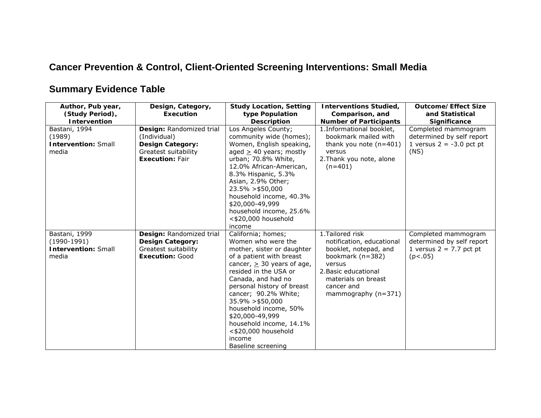## **Cancer Prevention & Control, Client-Oriented Screening Interventions: Small Media**

## **Summary Evidence Table**

| Author, Pub year,<br>(Study Period),<br><b>Intervention</b>           | Design, Category,<br><b>Execution</b>                                                                                 | <b>Study Location, Setting</b><br>type Population<br><b>Description</b>                                                                                                                                                                                                                                                                                                                        | <b>Interventions Studied,</b><br>Comparison, and<br><b>Number of Participants</b>                                                                                                          | <b>Outcome/Effect Size</b><br>and Statistical<br><b>Significance</b>                     |
|-----------------------------------------------------------------------|-----------------------------------------------------------------------------------------------------------------------|------------------------------------------------------------------------------------------------------------------------------------------------------------------------------------------------------------------------------------------------------------------------------------------------------------------------------------------------------------------------------------------------|--------------------------------------------------------------------------------------------------------------------------------------------------------------------------------------------|------------------------------------------------------------------------------------------|
| Bastani, 1994<br>(1989)<br><b>Intervention: Small</b><br>media        | Design: Randomized trial<br>(Individual)<br><b>Design Category:</b><br>Greatest suitability<br><b>Execution: Fair</b> | Los Angeles County;<br>community wide (homes);<br>Women, English speaking,<br>aged $\geq$ 40 years; mostly<br>urban; 70.8% White,<br>12.0% African-American,<br>8.3% Hispanic, 5.3%<br>Asian, 2.9% Other;<br>$23.5\% > $50,000$<br>household income, 40.3%<br>\$20,000-49,999<br>household income, 25.6%<br><\$20,000 household<br>income                                                      | 1. Informational booklet,<br>bookmark mailed with<br>thank you note $(n=401)$<br>versus<br>2. Thank you note, alone<br>$(n=401)$                                                           | Completed mammogram<br>determined by self report<br>1 versus $2 = -3.0$ pct pt<br>(NS)   |
| Bastani, 1999<br>$(1990-1991)$<br><b>Intervention: Small</b><br>media | Design: Randomized trial<br><b>Design Category:</b><br>Greatest suitability<br><b>Execution: Good</b>                 | California; homes;<br>Women who were the<br>mother, sister or daughter<br>of a patient with breast<br>cancer, $\geq$ 30 years of age,<br>resided in the USA or<br>Canada, and had no<br>personal history of breast<br>cancer; 90.2% White;<br>$35.9\% > $50,000$<br>household income, 50%<br>\$20,000-49,999<br>household income, 14.1%<br><\$20,000 household<br>income<br>Baseline screening | 1. Tailored risk<br>notification, educational<br>booklet, notepad, and<br>bookmark (n=382)<br>versus<br>2. Basic educational<br>materials on breast<br>cancer and<br>mammography $(n=371)$ | Completed mammogram<br>determined by self report<br>1 versus $2 = 7.7$ pct pt<br>(p<.05) |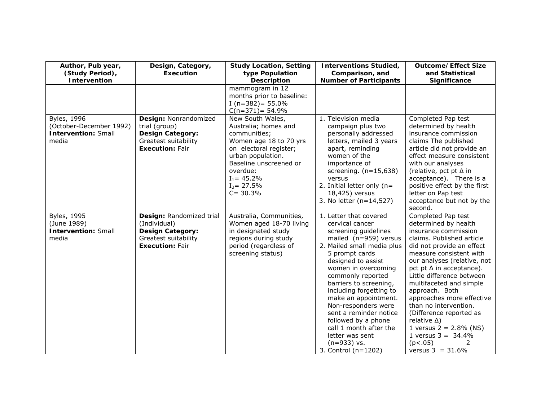| Author, Pub year,<br>(Study Period),<br>Intervention                                  | Design, Category,<br><b>Execution</b>                                                                                 | <b>Study Location, Setting</b><br>type Population<br><b>Description</b>                                                                                                                                                    | <b>Interventions Studied,</b><br>Comparison, and<br><b>Number of Participants</b>                                                                                                                                                                                                                                                                                                                                                                      | <b>Outcome/Effect Size</b><br>and Statistical<br>Significance                                                                                                                                                                                                                                                                                                                                                                                                                                            |
|---------------------------------------------------------------------------------------|-----------------------------------------------------------------------------------------------------------------------|----------------------------------------------------------------------------------------------------------------------------------------------------------------------------------------------------------------------------|--------------------------------------------------------------------------------------------------------------------------------------------------------------------------------------------------------------------------------------------------------------------------------------------------------------------------------------------------------------------------------------------------------------------------------------------------------|----------------------------------------------------------------------------------------------------------------------------------------------------------------------------------------------------------------------------------------------------------------------------------------------------------------------------------------------------------------------------------------------------------------------------------------------------------------------------------------------------------|
|                                                                                       |                                                                                                                       | mammogram in 12<br>months prior to baseline:<br>I ( $n=382$ ) = 55.0%<br>$C(n=371) = 54.9%$                                                                                                                                |                                                                                                                                                                                                                                                                                                                                                                                                                                                        |                                                                                                                                                                                                                                                                                                                                                                                                                                                                                                          |
| <b>Byles</b> , 1996<br>(October-December 1992)<br><b>Intervention: Small</b><br>media | Design: Nonrandomized<br>trial (group)<br><b>Design Category:</b><br>Greatest suitability<br><b>Execution: Fair</b>   | New South Wales,<br>Australia; homes and<br>communities;<br>Women age 18 to 70 yrs<br>on electoral register;<br>urban population.<br>Baseline unscreened or<br>overdue:<br>$I_1 = 45.2\%$<br>$I_2 = 27.5\%$<br>$C = 30.3%$ | 1. Television media<br>campaign plus two<br>personally addressed<br>letters, mailed 3 years<br>apart, reminding<br>women of the<br>importance of<br>screening. $(n=15,638)$<br>versus<br>2. Initial letter only ( $n=$<br>18,425) versus<br>3. No letter (n=14,527)                                                                                                                                                                                    | Completed Pap test<br>determined by health<br>insurance commission<br>claims The published<br>article did not provide an<br>effect measure consistent<br>with our analyses<br>(relative, pct pt ∆ in<br>acceptance). There is a<br>positive effect by the first<br>letter on Pap test<br>acceptance but not by the<br>second.                                                                                                                                                                            |
| <b>Byles, 1995</b><br>(June 1989)<br><b>Intervention: Small</b><br>media              | Design: Randomized trial<br>(Individual)<br><b>Design Category:</b><br>Greatest suitability<br><b>Execution: Fair</b> | Australia, Communities,<br>Women aged 18-70 living<br>in designated study<br>regions during study<br>period (regardless of<br>screening status)                                                                            | 1. Letter that covered<br>cervical cancer<br>screening guidelines<br>mailed (n=959) versus<br>2. Mailed small media plus<br>5 prompt cards<br>designed to assist<br>women in overcoming<br>commonly reported<br>barriers to screening,<br>including forgetting to<br>make an appointment.<br>Non-responders were<br>sent a reminder notice<br>followed by a phone<br>call 1 month after the<br>letter was sent<br>$(n=933)$ vs.<br>3. Control (n=1202) | Completed Pap test<br>determined by health<br>insurance commission<br>claims. Published article<br>did not provide an effect<br>measure consistent with<br>our analyses (relative, not<br>pct pt $\Delta$ in acceptance).<br>Little difference between<br>multifaceted and simple<br>approach. Both<br>approaches more effective<br>than no intervention.<br>(Difference reported as<br>relative $\Delta$ )<br>1 versus $2 = 2.8\%$ (NS)<br>1 versus $3 = 34.4\%$<br>(p<.05)<br>2<br>versus $3 = 31.6\%$ |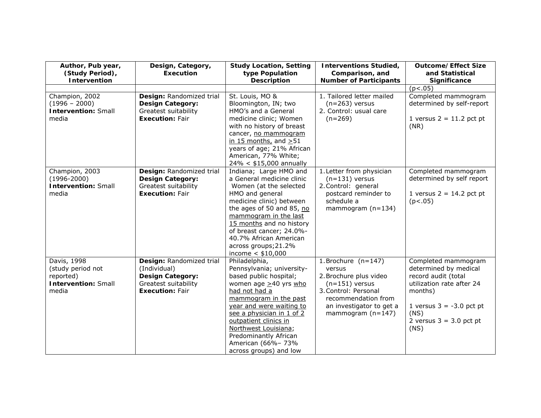| Author, Pub year,<br>(Study Period),<br>Intervention                                 | Design, Category,<br><b>Execution</b>                                                                                 | <b>Study Location, Setting</b><br>type Population<br><b>Description</b>                                                                                                                                                                                                                                                         | <b>Interventions Studied,</b><br>Comparison, and<br><b>Number of Participants</b>                                                                                               | <b>Outcome/Effect Size</b><br>and Statistical<br>Significance                                                                                                                          |
|--------------------------------------------------------------------------------------|-----------------------------------------------------------------------------------------------------------------------|---------------------------------------------------------------------------------------------------------------------------------------------------------------------------------------------------------------------------------------------------------------------------------------------------------------------------------|---------------------------------------------------------------------------------------------------------------------------------------------------------------------------------|----------------------------------------------------------------------------------------------------------------------------------------------------------------------------------------|
|                                                                                      |                                                                                                                       |                                                                                                                                                                                                                                                                                                                                 |                                                                                                                                                                                 | (p<.05)                                                                                                                                                                                |
| Champion, 2002<br>$(1996 - 2000)$<br><b>Intervention: Small</b><br>media             | Design: Randomized trial<br><b>Design Category:</b><br>Greatest suitability<br><b>Execution: Fair</b>                 | St. Louis, MO &<br>Bloomington, IN; two<br>HMO's and a General<br>medicine clinic; Women<br>with no history of breast<br>cancer, no mammogram<br>in 15 months, and $>51$<br>years of age; 21% African<br>American, 77% White;<br>$24\% < $15,000$ annually                                                                      | 1. Tailored letter mailed<br>$(n=263)$ versus<br>2. Control: usual care<br>$(n=269)$                                                                                            | Completed mammogram<br>determined by self-report<br>1 versus $2 = 11.2$ pct pt<br>(NR)                                                                                                 |
| Champion, 2003<br>$(1996 - 2000)$<br><b>Intervention: Small</b><br>media             | Design: Randomized trial<br><b>Design Category:</b><br>Greatest suitability<br><b>Execution: Fair</b>                 | Indiana; Large HMO and<br>a General medicine clinic<br>Women (at the selected<br>HMO and general<br>medicine clinic) between<br>the ages of 50 and 85, no<br>mammogram in the last<br>15 months and no history<br>of breast cancer; 24.0%-<br>40.7% African American<br>across groups; 21.2%<br>income $< $10,000$              | 1. Letter from physician<br>$(n=131)$ versus<br>2. Control: general<br>postcard reminder to<br>schedule a<br>mammogram $(n=134)$                                                | Completed mammogram<br>determined by self report<br>1 versus $2 = 14.2$ pct pt<br>(p<.05)                                                                                              |
| Davis, 1998<br>(study period not<br>reported)<br><b>Intervention: Small</b><br>media | Design: Randomized trial<br>(Individual)<br><b>Design Category:</b><br>Greatest suitability<br><b>Execution: Fair</b> | Philadelphia,<br>Pennsylvania; university-<br>based public hospital;<br>women age $\geq$ 40 yrs who<br>had not had a<br>mammogram in the past<br>year and were waiting to<br>see a physician in 1 of 2<br>outpatient clinics in<br>Northwest Louisiana;<br>Predominantly African<br>American (66%-73%<br>across groups) and low | 1. Brochure $(n=147)$<br>versus<br>2. Brochure plus video<br>$(n=151)$ versus<br>3. Control: Personal<br>recommendation from<br>an investigator to get a<br>mammogram $(n=147)$ | Completed mammogram<br>determined by medical<br>record audit (total<br>utilization rate after 24<br>months)<br>1 versus $3 = -3.0$ pct pt<br>(NS)<br>2 versus $3 = 3.0$ pct pt<br>(NS) |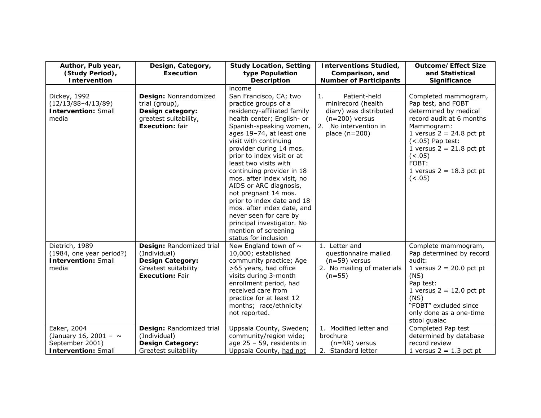| Author, Pub year,<br>(Study Period),                                                       | Design, Category,<br><b>Execution</b>                                                                                 | <b>Study Location, Setting</b><br>type Population                                                                                                                                                                                                                                                                                                                                                                                                                                                                                                                        | <b>Interventions Studied,</b><br>Comparison, and                                                                                   | <b>Outcome/Effect Size</b><br>and Statistical                                                                                                                                                                                                               |
|--------------------------------------------------------------------------------------------|-----------------------------------------------------------------------------------------------------------------------|--------------------------------------------------------------------------------------------------------------------------------------------------------------------------------------------------------------------------------------------------------------------------------------------------------------------------------------------------------------------------------------------------------------------------------------------------------------------------------------------------------------------------------------------------------------------------|------------------------------------------------------------------------------------------------------------------------------------|-------------------------------------------------------------------------------------------------------------------------------------------------------------------------------------------------------------------------------------------------------------|
| Intervention                                                                               |                                                                                                                       | <b>Description</b>                                                                                                                                                                                                                                                                                                                                                                                                                                                                                                                                                       | <b>Number of Participants</b>                                                                                                      | Significance                                                                                                                                                                                                                                                |
| Dickey, 1992<br>$(12/13/88-4/13/89)$<br><b>Intervention: Small</b><br>media                | Design: Nonrandomized<br>trial (group),<br>Design category:<br>greatest suitability,<br><b>Execution: fair</b>        | income<br>San Francisco, CA; two<br>practice groups of a<br>residency-affiliated family<br>health center; English- or<br>Spanish-speaking women,<br>ages 19-74, at least one<br>visit with continuing<br>provider during 14 mos.<br>prior to index visit or at<br>least two visits with<br>continuing provider in 18<br>mos. after index visit, no<br>AIDS or ARC diagnosis,<br>not pregnant 14 mos.<br>prior to index date and 18<br>mos. after index date, and<br>never seen for care by<br>principal investigator. No<br>mention of screening<br>status for inclusion | Patient-held<br>1.<br>minirecord (health<br>diary) was distributed<br>$(n=200)$ versus<br>2. No intervention in<br>place $(n=200)$ | Completed mammogram,<br>Pap test, and FOBT<br>determined by medical<br>record audit at 6 months<br>Mammogram:<br>1 versus $2 = 24.8$ pct pt<br>$(<.05)$ Pap test:<br>1 versus $2 = 21.8$ pct pt<br>(<.05)<br>FOBT:<br>1 versus $2 = 18.3$ pct pt<br>(< .05) |
| Dietrich, 1989<br>(1984, one year period?)<br><b>Intervention: Small</b><br>media          | Design: Randomized trial<br>(Individual)<br><b>Design Category:</b><br>Greatest suitability<br><b>Execution: Fair</b> | New England town of $\sim$<br>10,000; established<br>community practice; Age<br>$\geq$ 65 years, had office<br>visits during 3-month<br>enrollment period, had<br>received care from<br>practice for at least 12<br>months; race/ethnicity<br>not reported.                                                                                                                                                                                                                                                                                                              | 1. Letter and<br>questionnaire mailed<br>$(n=59)$ versus<br>2. No mailing of materials<br>$(n=55)$                                 | Complete mammogram,<br>Pap determined by record<br>audit:<br>1 versus $2 = 20.0$ pct pt<br>(NS)<br>Pap test:<br>1 versus $2 = 12.0$ pct pt<br>(NS)<br>"FOBT" excluded since<br>only done as a one-time<br>stool guaiac                                      |
| Eaker, 2004<br>(January 16, 2001 - $\sim$<br>September 2001)<br><b>Intervention: Small</b> | Design: Randomized trial<br>(Individual)<br><b>Design Category:</b><br>Greatest suitability                           | Uppsala County, Sweden;<br>community/region wide;<br>age $25 - 59$ , residents in<br>Uppsala County, had not                                                                                                                                                                                                                                                                                                                                                                                                                                                             | 1. Modified letter and<br>brochure<br>$(n=NR)$ versus<br>2. Standard letter                                                        | Completed Pap test<br>determined by database<br>record review<br>1 versus $2 = 1.3$ pct pt                                                                                                                                                                  |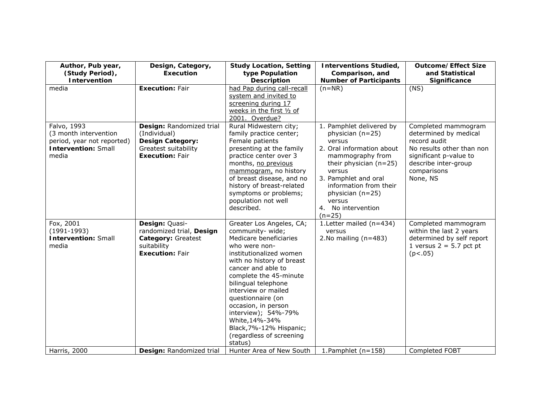| Author, Pub year,<br>(Study Period),<br>Intervention                                                      | Design, Category,<br><b>Execution</b>                                                                                 | <b>Study Location, Setting</b><br>type Population<br><b>Description</b>                                                                                                                                                                                                                                                                                                                             | <b>Interventions Studied,</b><br>Comparison, and<br><b>Number of Participants</b>                                                                                                                                                                               | <b>Outcome/Effect Size</b><br>and Statistical<br>Significance                                                                                                          |
|-----------------------------------------------------------------------------------------------------------|-----------------------------------------------------------------------------------------------------------------------|-----------------------------------------------------------------------------------------------------------------------------------------------------------------------------------------------------------------------------------------------------------------------------------------------------------------------------------------------------------------------------------------------------|-----------------------------------------------------------------------------------------------------------------------------------------------------------------------------------------------------------------------------------------------------------------|------------------------------------------------------------------------------------------------------------------------------------------------------------------------|
| media                                                                                                     | <b>Execution: Fair</b>                                                                                                | had Pap during call-recall<br>system and invited to<br>screening during 17<br>weeks in the first 1/2 of<br>2001. Overdue?                                                                                                                                                                                                                                                                           | $(n=NR)$                                                                                                                                                                                                                                                        | (NS)                                                                                                                                                                   |
| Falvo, 1993<br>(3 month intervention<br>period, year not reported)<br><b>Intervention: Small</b><br>media | Design: Randomized trial<br>(Individual)<br><b>Design Category:</b><br>Greatest suitability<br><b>Execution: Fair</b> | Rural Midwestern city;<br>family practice center;<br>Female patients<br>presenting at the family<br>practice center over 3<br>months, no previous<br>mammogram, no history<br>of breast disease, and no<br>history of breast-related<br>symptoms or problems;<br>population not well<br>described.                                                                                                  | 1. Pamphlet delivered by<br>physician (n=25)<br>versus<br>2. Oral information about<br>mammography from<br>their physician $(n=25)$<br>versus<br>3. Pamphlet and oral<br>information from their<br>physician (n=25)<br>versus<br>4. No intervention<br>$(n=25)$ | Completed mammogram<br>determined by medical<br>record audit<br>No results other than non<br>significant p-value to<br>describe inter-group<br>comparisons<br>None, NS |
| Fox, 2001<br>$(1991-1993)$<br><b>Intervention: Small</b><br>media                                         | Design: Quasi-<br>randomized trial, Design<br>Category: Greatest<br>suitability<br><b>Execution: Fair</b>             | Greater Los Angeles, CA;<br>community-wide;<br>Medicare beneficiaries<br>who were non-<br>institutionalized women<br>with no history of breast<br>cancer and able to<br>complete the 45-minute<br>bilingual telephone<br>interview or mailed<br>questionnaire (on<br>occasion, in person<br>interview); 54%-79%<br>White, 14%-34%<br>Black, 7%-12% Hispanic;<br>(regardless of screening<br>status) | 1. Letter mailed (n=434)<br>versus<br>2. No mailing $(n=483)$                                                                                                                                                                                                   | Completed mammogram<br>within the last 2 years<br>determined by self report<br>1 versus $2 = 5.7$ pct pt<br>(p<.05)                                                    |
| Harris, 2000                                                                                              | Design: Randomized trial                                                                                              | Hunter Area of New South                                                                                                                                                                                                                                                                                                                                                                            | 1. Pamphlet $(n=158)$                                                                                                                                                                                                                                           | Completed FOBT                                                                                                                                                         |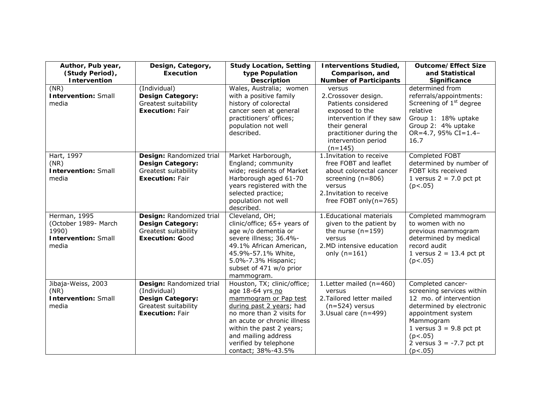| Author, Pub year,<br>(Study Period),<br>Intervention                                 | Design, Category,<br><b>Execution</b>                                                                                 | <b>Study Location, Setting</b><br>type Population<br><b>Description</b>                                                                                                                                                                                            | <b>Interventions Studied,</b><br>Comparison, and<br><b>Number of Participants</b>                                                                                                   | <b>Outcome/Effect Size</b><br>and Statistical<br>Significance                                                                                                                                                            |
|--------------------------------------------------------------------------------------|-----------------------------------------------------------------------------------------------------------------------|--------------------------------------------------------------------------------------------------------------------------------------------------------------------------------------------------------------------------------------------------------------------|-------------------------------------------------------------------------------------------------------------------------------------------------------------------------------------|--------------------------------------------------------------------------------------------------------------------------------------------------------------------------------------------------------------------------|
| (NR)<br><b>Intervention: Small</b><br>media                                          | (Individual)<br><b>Design Category:</b><br>Greatest suitability<br><b>Execution: Fair</b>                             | Wales, Australia; women<br>with a positive family<br>history of colorectal<br>cancer seen at general<br>practitioners' offices;<br>population not well<br>described.                                                                                               | versus<br>2. Crossover design.<br>Patients considered<br>exposed to the<br>intervention if they saw<br>their general<br>practitioner during the<br>intervention period<br>$(n=145)$ | determined from<br>referrals/appointments:<br>Screening of 1 <sup>st</sup> degree<br>relative<br>Group 1: 18% uptake<br>Group 2: 4% uptake<br>OR=4.7, 95% CI=1.4-<br>16.7                                                |
| Hart, 1997<br>(NR)<br><b>Intervention: Small</b><br>media                            | Design: Randomized trial<br><b>Design Category:</b><br>Greatest suitability<br><b>Execution: Fair</b>                 | Market Harborough,<br>England; community<br>wide; residents of Market<br>Harborough aged 61-70<br>years registered with the<br>selected practice;<br>population not well<br>described.                                                                             | 1. Invitation to receive<br>free FOBT and leaflet<br>about colorectal cancer<br>screening (n=806)<br>versus<br>2. Invitation to receive<br>free FOBT only $(n=765)$                 | Completed FOBT<br>determined by number of<br>FOBT kits received<br>1 versus $2 = 7.0$ pct pt<br>(p<.05)                                                                                                                  |
| Herman, 1995<br>(October 1989- March<br>1990)<br><b>Intervention: Small</b><br>media | Design: Randomized trial<br><b>Design Category:</b><br>Greatest suitability<br><b>Execution: Good</b>                 | Cleveland, OH;<br>clinic/office; 65+ years of<br>age w/o dementia or<br>severe illness; 36.4%-<br>49.1% African American,<br>45.9%-57.1% White,<br>5.0%-7.3% Hispanic;<br>subset of 471 w/o prior<br>mammogram.                                                    | 1. Educational materials<br>given to the patient by<br>the nurse $(n=159)$<br>versus<br>2.MD intensive education<br>only $(n=161)$                                                  | Completed mammogram<br>to women with no<br>previous mammogram<br>determined by medical<br>record audit<br>1 versus $2 = 13.4$ pct pt<br>(p<.05)                                                                          |
| Jibaja-Weiss, 2003<br>(NR)<br><b>Intervention: Small</b><br>media                    | Design: Randomized trial<br>(Individual)<br><b>Design Category:</b><br>Greatest suitability<br><b>Execution: Fair</b> | Houston, TX; clinic/office;<br>age 18-64 yrs no<br>mammogram or Pap test<br>during past 2 years; had<br>no more than 2 visits for<br>an acute or chronic illness<br>within the past 2 years;<br>and mailing address<br>verified by telephone<br>contact; 38%-43.5% | 1. Letter mailed (n=460)<br>versus<br>2. Tailored letter mailed<br>$(n=524)$ versus<br>3. Usual care (n=499)                                                                        | Completed cancer-<br>screening services within<br>12 mo. of intervention<br>determined by electronic<br>appointment system<br>Mammogram<br>1 versus $3 = 9.8$ pct pt<br>(p<.05)<br>2 versus $3 = -7.7$ pct pt<br>(p<.05) |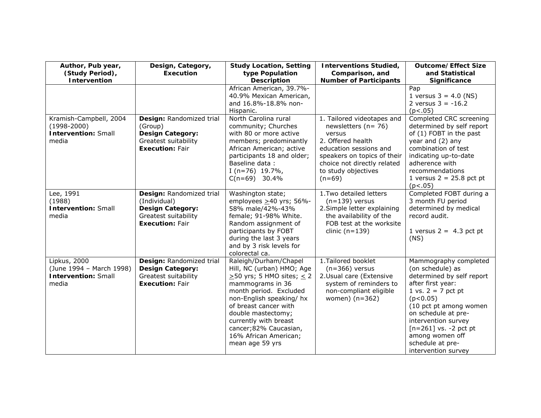| Author, Pub year,<br>(Study Period),<br>Intervention                             | Design, Category,<br><b>Execution</b>                                                                                 | <b>Study Location, Setting</b><br>type Population<br><b>Description</b>                                                                                                                                                                                                                                           | <b>Interventions Studied,</b><br>Comparison, and<br><b>Number of Participants</b>                                                                                                                            | <b>Outcome/Effect Size</b><br>and Statistical<br>Significance                                                                                                                                                                                                                                    |
|----------------------------------------------------------------------------------|-----------------------------------------------------------------------------------------------------------------------|-------------------------------------------------------------------------------------------------------------------------------------------------------------------------------------------------------------------------------------------------------------------------------------------------------------------|--------------------------------------------------------------------------------------------------------------------------------------------------------------------------------------------------------------|--------------------------------------------------------------------------------------------------------------------------------------------------------------------------------------------------------------------------------------------------------------------------------------------------|
|                                                                                  |                                                                                                                       | African American, 39.7%-<br>40.9% Mexican American,<br>and 16.8%-18.8% non-<br>Hispanic.                                                                                                                                                                                                                          |                                                                                                                                                                                                              | Pap<br>1 versus $3 = 4.0$ (NS)<br>2 versus $3 = -16.2$<br>(p<.05)                                                                                                                                                                                                                                |
| Kramish-Campbell, 2004<br>$(1998 - 2000)$<br><b>Intervention: Small</b><br>media | Design: Randomized trial<br>(Group)<br><b>Design Category:</b><br>Greatest suitability<br><b>Execution: Fair</b>      | North Carolina rural<br>community; Churches<br>with 80 or more active<br>members; predominantly<br>African American; active<br>participants 18 and older;<br>Baseline data:<br>I (n=76) $19.7\%$ ,<br>$C(n=69)$ 30.4%                                                                                             | 1. Tailored videotapes and<br>newsletters $(n=76)$<br>versus<br>2. Offered health<br>education sessions and<br>speakers on topics of their<br>choice not directly related<br>to study objectives<br>$(n=69)$ | Completed CRC screening<br>determined by self report<br>of (1) FOBT in the past<br>year and (2) any<br>combination of test<br>indicating up-to-date<br>adherence with<br>recommendations<br>1 versus $2 = 25.8$ pct pt<br>(p<.05)                                                                |
| Lee, $199\overline{1}$<br>(1988)<br><b>Intervention: Small</b><br>media          | Design: Randomized trial<br>(Individual)<br><b>Design Category:</b><br>Greatest suitability<br><b>Execution: Fair</b> | Washington state;<br>employees $\geq$ 40 yrs; 56%-<br>58% male/42%-43%<br>female; 91-98% White.<br>Random assignment of<br>participants by FOBT<br>during the last 3 years<br>and by 3 risk levels for<br>colorectal ca.                                                                                          | 1. Two detailed letters<br>$(n=139)$ versus<br>2. Simple letter explaining<br>the availability of the<br>FOB test at the worksite<br>clinic $(n=139)$                                                        | Completed FOBT during a<br>3 month FU period<br>determined by medical<br>record audit.<br>1 versus $2 = 4.3$ pct pt<br>(NS)                                                                                                                                                                      |
| Lipkus, 2000<br>(June 1994 - March 1998)<br><b>Intervention: Small</b><br>media  | Design: Randomized trial<br><b>Design Category:</b><br>Greatest suitability<br><b>Execution: Fair</b>                 | Raleigh/Durham/Chapel<br>Hill, NC (urban) HMO; Age<br>$\geq$ 50 yrs; 5 HMO sites; $\leq$ 2<br>mammograms in 36<br>month period. Excluded<br>non-English speaking/hx<br>of breast cancer with<br>double mastectomy;<br>currently with breast<br>cancer; 82% Caucasian,<br>16% African American;<br>mean age 59 yrs | 1. Tailored booklet<br>$(n=366)$ versus<br>2. Usual care (Extensive<br>system of reminders to<br>non-compliant eligible<br>women) (n=362)                                                                    | Mammography completed<br>(on schedule) as<br>determined by self report<br>after first year:<br>1 vs. $2 = 7$ pct pt<br>(p<0.05)<br>(10 pct pt among women<br>on schedule at pre-<br>intervention survey<br>$[n=261]$ vs. -2 pct pt<br>among women off<br>schedule at pre-<br>intervention survey |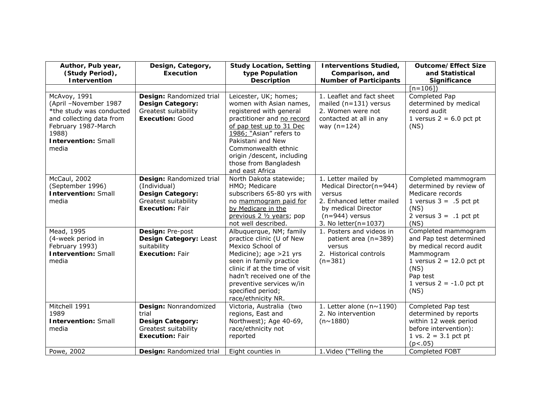| Author, Pub year,<br>(Study Period),<br>Intervention                                                                                                                 | Design, Category,<br><b>Execution</b>                                                                                 | <b>Study Location, Setting</b><br>type Population<br><b>Description</b>                                                                                                                                                                                                                | <b>Interventions Studied,</b><br>Comparison, and<br><b>Number of Participants</b>                                                                        | <b>Outcome/Effect Size</b><br>and Statistical<br>Significance                                                                                                                  |
|----------------------------------------------------------------------------------------------------------------------------------------------------------------------|-----------------------------------------------------------------------------------------------------------------------|----------------------------------------------------------------------------------------------------------------------------------------------------------------------------------------------------------------------------------------------------------------------------------------|----------------------------------------------------------------------------------------------------------------------------------------------------------|--------------------------------------------------------------------------------------------------------------------------------------------------------------------------------|
|                                                                                                                                                                      |                                                                                                                       |                                                                                                                                                                                                                                                                                        |                                                                                                                                                          | [n=106])                                                                                                                                                                       |
| McAvoy, 1991<br>(April -November 1987<br>*the study was conducted<br>and collecting data from<br>February 1987-March<br>1988)<br><b>Intervention: Small</b><br>media | Design: Randomized trial<br><b>Design Category:</b><br>Greatest suitability<br><b>Execution: Good</b>                 | Leicester, UK; homes;<br>women with Asian names,<br>registered with general<br>practitioner and no record<br>of pap test up to 31 Dec<br>1986; "Asian" refers to<br>Pakistani and New<br>Commonwealth ethnic<br>origin /descent, including<br>those from Bangladesh<br>and east Africa | 1. Leaflet and fact sheet<br>mailed (n=131) versus<br>2. Women were not<br>contacted at all in any<br>way $(n=124)$                                      | Completed Pap<br>determined by medical<br>record audit<br>1 versus $2 = 6.0$ pct pt<br>(NS)                                                                                    |
| McCaul, 2002<br>(September 1996)<br><b>Intervention: Small</b><br>media                                                                                              | Design: Randomized trial<br>(Individual)<br><b>Design Category:</b><br>Greatest suitability<br><b>Execution: Fair</b> | North Dakota statewide;<br>HMO; Medicare<br>subscribers 65-80 yrs with<br>no mammogram paid for<br>by Medicare in the<br>previous 2 1/2 years; pop<br>not well described.                                                                                                              | 1. Letter mailed by<br>Medical Director(n=944)<br>versus<br>2. Enhanced letter mailed<br>by medical Director<br>$(n=944)$ versus<br>3. No letter(n=1037) | Completed mammogram<br>determined by review of<br>Medicare records<br>1 versus $3 = .5$ pct pt<br>(NS)<br>2 versus $3 = .1$ pct pt<br>(NS)                                     |
| Mead, 1995<br>(4-week period in<br>February 1993)<br><b>Intervention: Small</b><br>media                                                                             | Design: Pre-post<br>Design Category: Least<br>suitability<br><b>Execution: Fair</b>                                   | Albuquerque, NM; family<br>practice clinic (U of New<br>Mexico School of<br>Medicine); age >21 yrs<br>seen in family practice<br>clinic if at the time of visit<br>hadn't received one of the<br>preventive services w/in<br>specified period;<br>race/ethnicity NR.                   | 1. Posters and videos in<br>patient area (n=389)<br>versus<br>2. Historical controls<br>$(n=381)$                                                        | Completed mammogram<br>and Pap test determined<br>by medical record audit<br>Mammogram<br>1 versus $2 = 12.0$ pct pt<br>(NS)<br>Pap test<br>1 versus $2 = -1.0$ pct pt<br>(NS) |
| Mitchell 1991<br>1989<br><b>Intervention: Small</b><br>media                                                                                                         | Design: Nonrandomized<br>trial<br><b>Design Category:</b><br>Greatest suitability<br><b>Execution: Fair</b>           | Victoria, Australia (two<br>regions, East and<br>Northwest); Age 40-69,<br>race/ethnicity not<br>reported                                                                                                                                                                              | 1. Letter alone ( $n \sim 1190$ )<br>2. No intervention<br>$(n \sim 1880)$                                                                               | Completed Pap test<br>determined by reports<br>within 12 week period<br>before intervention):<br>1 vs. $2 = 3.1$ pct pt<br>(p<.05)                                             |
| Powe, 2002                                                                                                                                                           | Design: Randomized trial                                                                                              | Eight counties in                                                                                                                                                                                                                                                                      | 1. Video ("Telling the                                                                                                                                   | Completed FOBT                                                                                                                                                                 |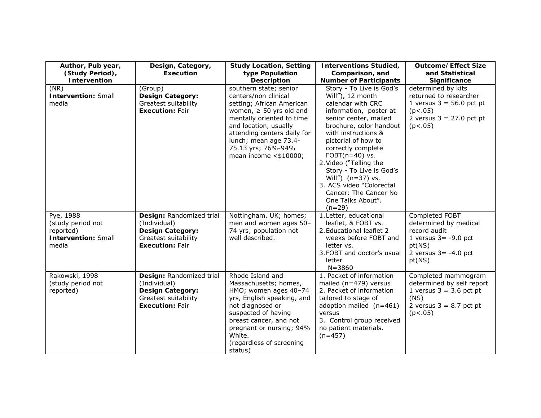| Author, Pub year,<br>(Study Period),<br>Intervention                               | Design, Category,<br><b>Execution</b>                                                                                 | <b>Study Location, Setting</b><br>type Population<br><b>Description</b>                                                                                                                                                                                                    | <b>Interventions Studied,</b><br>Comparison, and<br><b>Number of Participants</b>                                                                                                                                                                                                                                                                                                                           | <b>Outcome/Effect Size</b><br>and Statistical<br>Significance                                                                     |
|------------------------------------------------------------------------------------|-----------------------------------------------------------------------------------------------------------------------|----------------------------------------------------------------------------------------------------------------------------------------------------------------------------------------------------------------------------------------------------------------------------|-------------------------------------------------------------------------------------------------------------------------------------------------------------------------------------------------------------------------------------------------------------------------------------------------------------------------------------------------------------------------------------------------------------|-----------------------------------------------------------------------------------------------------------------------------------|
| (NR)<br><b>Intervention: Small</b><br>media                                        | (Group)<br><b>Design Category:</b><br>Greatest suitability<br><b>Execution: Fair</b>                                  | southern state; senior<br>centers/non clinical<br>setting; African American<br>women, $\geq$ 50 yrs old and<br>mentally oriented to time<br>and location, usually<br>attending centers daily for<br>lunch; mean age 73.4-<br>75.13 yrs; 76%-94%<br>mean income $< $10000;$ | Story - To Live is God's<br>Will"), 12 month<br>calendar with CRC<br>information, poster at<br>senior center, mailed<br>brochure, color handout<br>with instructions &<br>pictorial of how to<br>correctly complete<br>FOBT $(n=40)$ vs.<br>2. Video ("Telling the<br>Story - To Live is God's<br>Will") $(n=37)$ vs.<br>3. ACS video "Colorectal<br>Cancer: The Cancer No<br>One Talks About".<br>$(n=29)$ | determined by kits<br>returned to researcher<br>1 versus $3 = 56.0$ pct pt<br>(p<.05)<br>2 versus $3 = 27.0$ pct pt<br>(p<.05)    |
| Pye, 1988<br>(study period not<br>reported)<br><b>Intervention: Small</b><br>media | Design: Randomized trial<br>(Individual)<br><b>Design Category:</b><br>Greatest suitability<br><b>Execution: Fair</b> | Nottingham, UK; homes;<br>men and women ages 50-<br>74 yrs; population not<br>well described.                                                                                                                                                                              | 1. Letter, educational<br>leaflet, & FOBT vs.<br>2. Educational leaflet 2<br>weeks before FOBT and<br>letter vs.<br>3. FOBT and doctor's usual<br>letter<br>$N = 3860$                                                                                                                                                                                                                                      | Completed FOBT<br>determined by medical<br>record audit<br>1 versus $3 = -9.0$ pct<br>pt(NS)<br>2 versus $3 = -4.0$ pct<br>pt(NS) |
| Rakowski, 1998<br>(study period not<br>reported)                                   | Design: Randomized trial<br>(Individual)<br><b>Design Category:</b><br>Greatest suitability<br><b>Execution: Fair</b> | Rhode Island and<br>Massachusetts; homes,<br>HMO; women ages 40-74<br>yrs, English speaking, and<br>not diagnosed or<br>suspected of having<br>breast cancer, and not<br>pregnant or nursing; 94%<br>White.<br>(regardless of screening<br>status)                         | 1. Packet of information<br>mailed $(n=479)$ versus<br>2. Packet of information<br>tailored to stage of<br>adoption mailed (n=461)<br>versus<br>3. Control group received<br>no patient materials.<br>$(n=457)$                                                                                                                                                                                             | Completed mammogram<br>determined by self report<br>1 versus $3 = 3.6$ pct pt<br>(NS)<br>2 versus $3 = 8.7$ pct pt<br>(p<.05)     |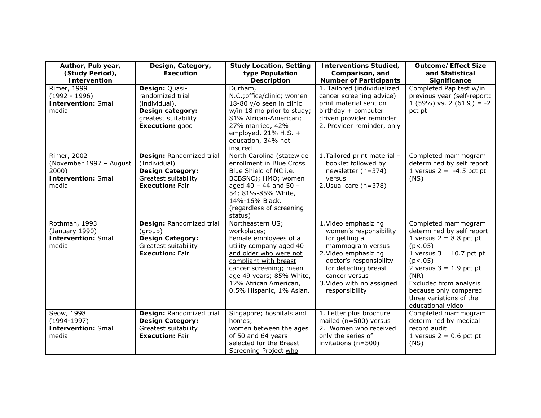| Author, Pub year,<br>(Study Period),<br>Intervention                                   | Design, Category,<br><b>Execution</b>                                                                                 | <b>Study Location, Setting</b><br>type Population<br><b>Description</b>                                                                                                                                                                           | <b>Interventions Studied,</b><br>Comparison, and<br><b>Number of Participants</b>                                                                                                                                              | <b>Outcome/Effect Size</b><br>and Statistical<br>Significance                                                                                                                                                                                                             |
|----------------------------------------------------------------------------------------|-----------------------------------------------------------------------------------------------------------------------|---------------------------------------------------------------------------------------------------------------------------------------------------------------------------------------------------------------------------------------------------|--------------------------------------------------------------------------------------------------------------------------------------------------------------------------------------------------------------------------------|---------------------------------------------------------------------------------------------------------------------------------------------------------------------------------------------------------------------------------------------------------------------------|
| Rimer, 1999<br>$(1992 - 1996)$<br><b>Intervention: Small</b><br>media                  | Design: Quasi-<br>randomized trial<br>(individual),<br>Design category:<br>greatest suitability<br>Execution: good    | Durham,<br>N.C.; office/clinic; women<br>18-80 y/o seen in clinic<br>w/in 18 mo prior to study;<br>81% African-American;<br>27% married, 42%<br>employed, $21\%$ H.S. +<br>education, 34% not<br>insured                                          | 1. Tailored (individualized<br>cancer screening advice)<br>print material sent on<br>birthday + computer<br>driven provider reminder<br>2. Provider reminder, only                                                             | Completed Pap test w/in<br>previous year (self-report:<br>$1(59\%)$ vs. $2(61\%) = -2$<br>pct pt                                                                                                                                                                          |
| Rimer, 2002<br>(November 1997 - August<br>2000)<br><b>Intervention: Small</b><br>media | Design: Randomized trial<br>(Individual)<br><b>Design Category:</b><br>Greatest suitability<br><b>Execution: Fair</b> | North Carolina (statewide<br>enrollment in Blue Cross<br>Blue Shield of NC i.e.<br>BCBSNC); HMO; women<br>aged 40 - 44 and 50 -<br>54; 81%-85% White,<br>14%-16% Black.<br>(regardless of screening<br>status)                                    | 1. Tailored print material -<br>booklet followed by<br>newsletter (n=374)<br>versus<br>2. Usual care $(n=378)$                                                                                                                 | Completed mammogram<br>determined by self report<br>1 versus $2 = -4.5$ pct pt<br>(NS)                                                                                                                                                                                    |
| Rothman, 1993<br>(January 1990)<br><b>Intervention: Small</b><br>media                 | Design: Randomized trial<br>(group)<br><b>Design Category:</b><br>Greatest suitability<br><b>Execution: Fair</b>      | Northeastern US;<br>workplaces;<br>Female employees of a<br>utility company aged 40<br>and older who were not<br>compliant with breast<br>cancer screening; mean<br>age 49 years; 85% White,<br>12% African American,<br>0.5% Hispanic, 1% Asian. | 1. Video emphasizing<br>women's responsibility<br>for getting a<br>mammogram versus<br>2. Video emphasizing<br>doctor's responsibility<br>for detecting breast<br>cancer versus<br>3. Video with no assigned<br>responsibility | Completed mammogram<br>determined by self report<br>1 versus $2 = 8.8$ pct pt<br>(p<.05)<br>1 versus $3 = 10.7$ pct pt<br>(p<.05)<br>2 versus $3 = 1.9$ pct pt<br>(NR)<br>Excluded from analysis<br>because only compared<br>three variations of the<br>educational video |
| Seow, 1998<br>$(1994-1997)$<br><b>Intervention: Small</b><br>media                     | Design: Randomized trial<br><b>Design Category:</b><br>Greatest suitability<br><b>Execution: Fair</b>                 | Singapore; hospitals and<br>homes;<br>women between the ages<br>of 50 and 64 years<br>selected for the Breast<br>Screening Project who                                                                                                            | 1. Letter plus brochure<br>mailed (n=500) versus<br>2. Women who received<br>only the series of<br>invitations (n=500)                                                                                                         | Completed mammogram<br>determined by medical<br>record audit<br>1 versus $2 = 0.6$ pct pt<br>(NS)                                                                                                                                                                         |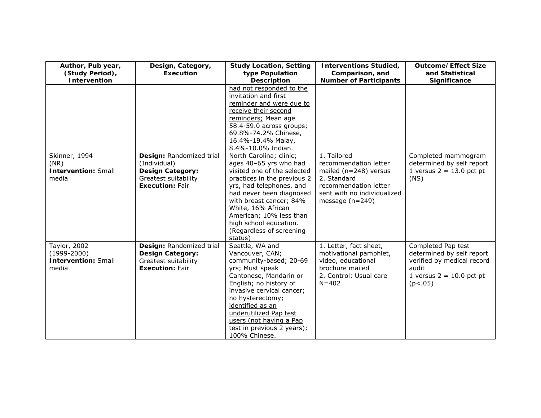| Author, Pub year,<br>(Study Period),<br>Intervention                   | Design, Category,<br><b>Execution</b>                                                                                 | <b>Study Location, Setting</b><br>type Population<br><b>Description</b>                                                                                                                                                                                                                                              | <b>Interventions Studied,</b><br>Comparison, and<br><b>Number of Participants</b>                                                                             | <b>Outcome/Effect Size</b><br>and Statistical<br>Significance                                                                   |
|------------------------------------------------------------------------|-----------------------------------------------------------------------------------------------------------------------|----------------------------------------------------------------------------------------------------------------------------------------------------------------------------------------------------------------------------------------------------------------------------------------------------------------------|---------------------------------------------------------------------------------------------------------------------------------------------------------------|---------------------------------------------------------------------------------------------------------------------------------|
|                                                                        |                                                                                                                       | had not responded to the<br>invitation and first<br>reminder and were due to<br>receive their second<br>reminders; Mean age<br>58.4-59.0 across groups;<br>69.8%-74.2% Chinese,<br>16.4%-19.4% Malay,<br>8.4%-10.0% Indian.                                                                                          |                                                                                                                                                               |                                                                                                                                 |
| Skinner, 1994<br>(NR)<br><b>Intervention: Small</b><br>media           | Design: Randomized trial<br>(Individual)<br><b>Design Category:</b><br>Greatest suitability<br><b>Execution: Fair</b> | North Carolina; clinic;<br>ages 40-65 yrs who had<br>visited one of the selected<br>practices in the previous 2<br>yrs, had telephones, and<br>had never been diagnosed<br>with breast cancer; 84%<br>White, 16% African<br>American; 10% less than<br>high school education.<br>(Regardless of screening<br>status) | 1. Tailored<br>recommendation letter<br>mailed ( $n=248$ ) versus<br>2. Standard<br>recommendation letter<br>sent with no individualized<br>message $(n=249)$ | Completed mammogram<br>determined by self report<br>1 versus $2 = 13.0$ pct pt<br>(NS)                                          |
| Taylor, 2002<br>$(1999 - 2000)$<br><b>Intervention: Small</b><br>media | Design: Randomized trial<br><b>Design Category:</b><br>Greatest suitability<br><b>Execution: Fair</b>                 | Seattle, WA and<br>Vancouver, CAN;<br>community-based; 20-69<br>yrs; Must speak<br>Cantonese, Mandarin or<br>English; no history of<br>invasive cervical cancer;<br>no hysterectomy;<br>identified as an<br>underutilized Pap test<br>users (not having a Pap<br>test in previous 2 years);<br>100% Chinese.         | 1. Letter, fact sheet,<br>motivational pamphlet,<br>video, educational<br>brochure mailed<br>2. Control: Usual care<br>$N = 402$                              | Completed Pap test<br>determined by self report<br>verified by medical record<br>audit<br>1 versus $2 = 10.0$ pct pt<br>(p<.05) |